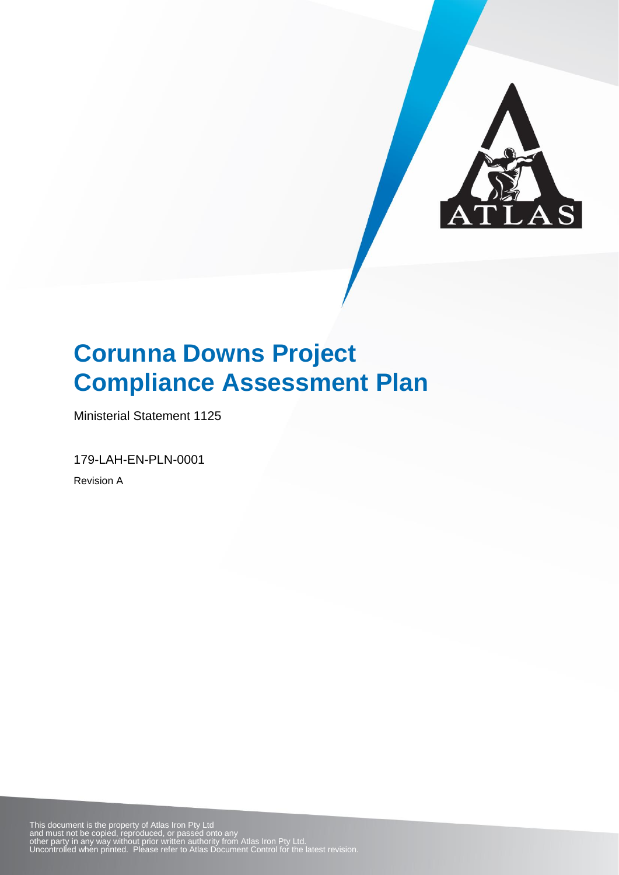

Ministerial Statement 1125

179-LAH-EN-PLN-0001

Revision A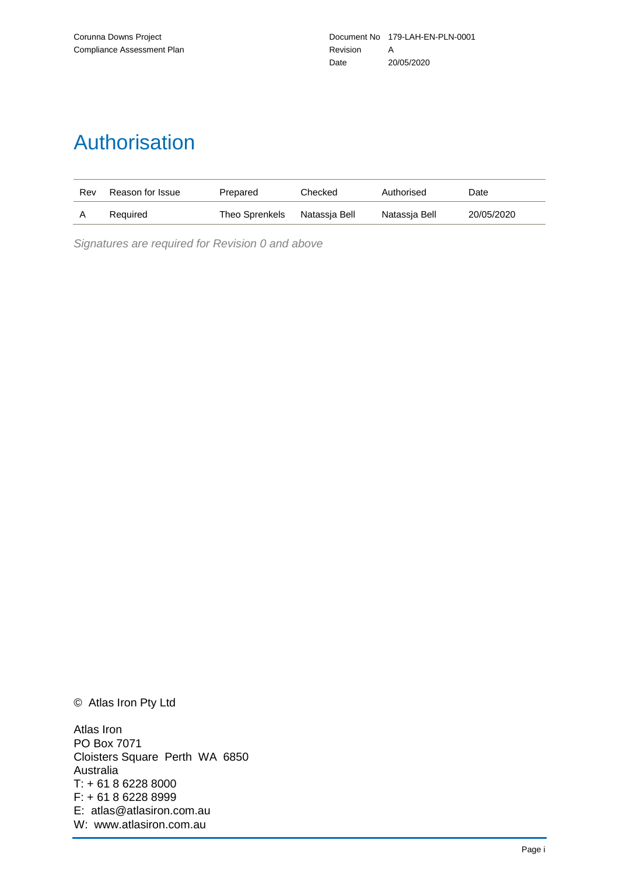# Authorisation

| Rev | Reason for Issue | Prepared       | Checked       | Authorised    | Date       |
|-----|------------------|----------------|---------------|---------------|------------|
|     | Required         | Theo Sprenkels | Natassia Bell | Natassia Bell | 20/05/2020 |

*Signatures are required for Revision 0 and above*

© Atlas Iron Pty Ltd

Atlas Iron PO Box 7071 Cloisters Square Perth WA 6850 Australia T: + 61 8 6228 8000 F: + 61 8 6228 8999 E: atlas@atlasiron.com.au W: www.atlasiron.com.au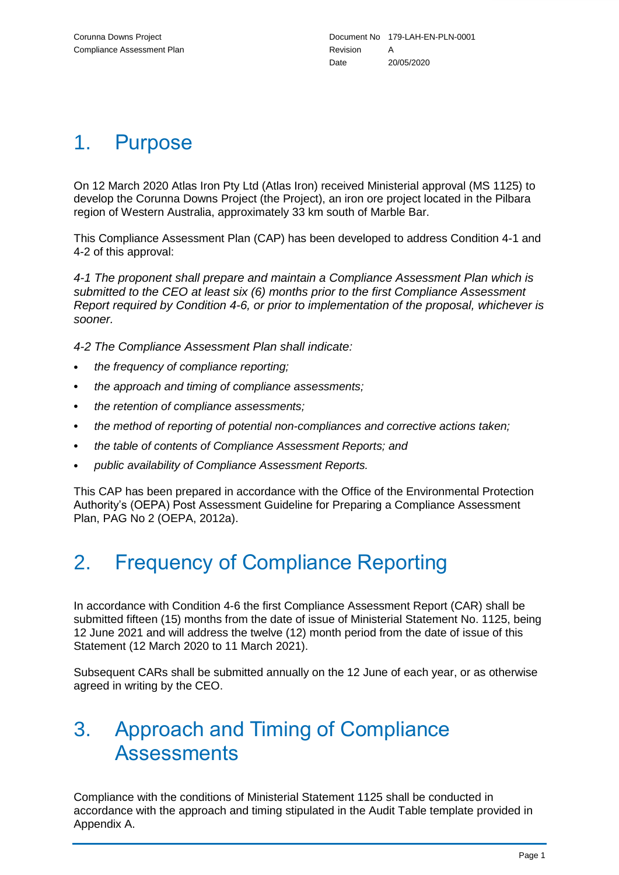### 1. Purpose

On 12 March 2020 Atlas Iron Pty Ltd (Atlas Iron) received Ministerial approval (MS 1125) to develop the Corunna Downs Project (the Project), an iron ore project located in the Pilbara region of Western Australia, approximately 33 km south of Marble Bar.

This Compliance Assessment Plan (CAP) has been developed to address Condition 4-1 and 4-2 of this approval:

*4-1 The proponent shall prepare and maintain a Compliance Assessment Plan which is submitted to the CEO at least six (6) months prior to the first Compliance Assessment Report required by Condition 4-6, or prior to implementation of the proposal, whichever is sooner.*

*4-2 The Compliance Assessment Plan shall indicate:*

- *the frequency of compliance reporting;*
- *the approach and timing of compliance assessments;*
- *the retention of compliance assessments;*
- *the method of reporting of potential non-compliances and corrective actions taken;*
- *the table of contents of Compliance Assessment Reports; and*
- *public availability of Compliance Assessment Reports.*

This CAP has been prepared in accordance with the Office of the Environmental Protection Authority's (OEPA) Post Assessment Guideline for Preparing a Compliance Assessment Plan, PAG No 2 (OEPA, 2012a).

# 2. Frequency of Compliance Reporting

In accordance with Condition 4-6 the first Compliance Assessment Report (CAR) shall be submitted fifteen (15) months from the date of issue of Ministerial Statement No. 1125, being 12 June 2021 and will address the twelve (12) month period from the date of issue of this Statement (12 March 2020 to 11 March 2021).

Subsequent CARs shall be submitted annually on the 12 June of each year, or as otherwise agreed in writing by the CEO.

### 3. Approach and Timing of Compliance **Assessments**

Compliance with the conditions of Ministerial Statement 1125 shall be conducted in accordance with the approach and timing stipulated in the Audit Table template provided in Appendix A.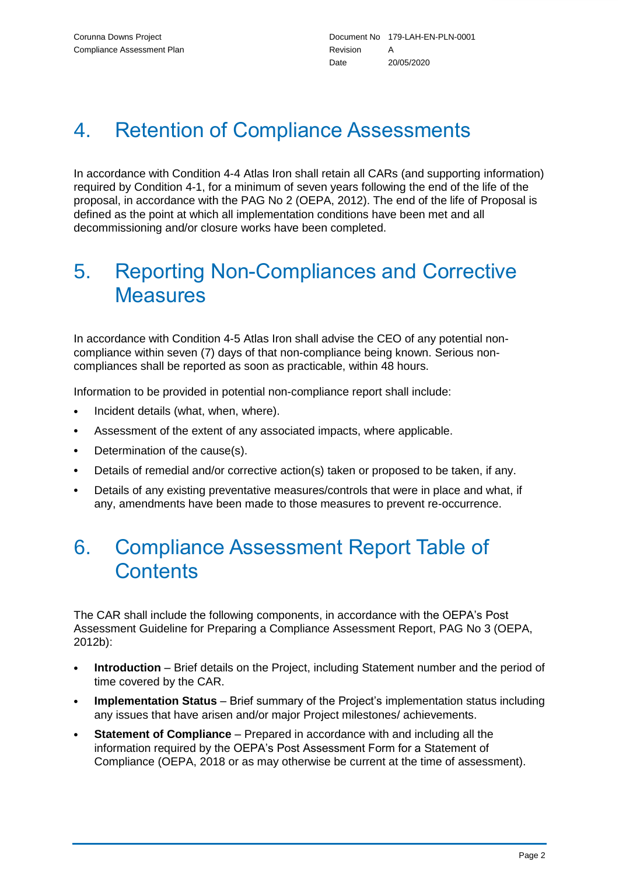## 4. Retention of Compliance Assessments

In accordance with Condition 4-4 Atlas Iron shall retain all CARs (and supporting information) required by Condition 4-1, for a minimum of seven years following the end of the life of the proposal, in accordance with the PAG No 2 (OEPA, 2012). The end of the life of Proposal is defined as the point at which all implementation conditions have been met and all decommissioning and/or closure works have been completed.

### 5. Reporting Non-Compliances and Corrective **Measures**

In accordance with Condition 4-5 Atlas Iron shall advise the CEO of any potential noncompliance within seven (7) days of that non-compliance being known. Serious noncompliances shall be reported as soon as practicable, within 48 hours.

Information to be provided in potential non-compliance report shall include:

- Incident details (what, when, where).
- Assessment of the extent of any associated impacts, where applicable.
- Determination of the cause(s).
- Details of remedial and/or corrective action(s) taken or proposed to be taken, if any.
- Details of any existing preventative measures/controls that were in place and what, if any, amendments have been made to those measures to prevent re-occurrence.

### 6. Compliance Assessment Report Table of **Contents**

The CAR shall include the following components, in accordance with the OEPA's Post Assessment Guideline for Preparing a Compliance Assessment Report, PAG No 3 (OEPA, 2012b):

- **Introduction** Brief details on the Project, including Statement number and the period of time covered by the CAR.
- **Implementation Status** Brief summary of the Project's implementation status including any issues that have arisen and/or major Project milestones/ achievements.
- **Statement of Compliance** Prepared in accordance with and including all the information required by the OEPA's Post Assessment Form for a Statement of Compliance (OEPA, 2018 or as may otherwise be current at the time of assessment).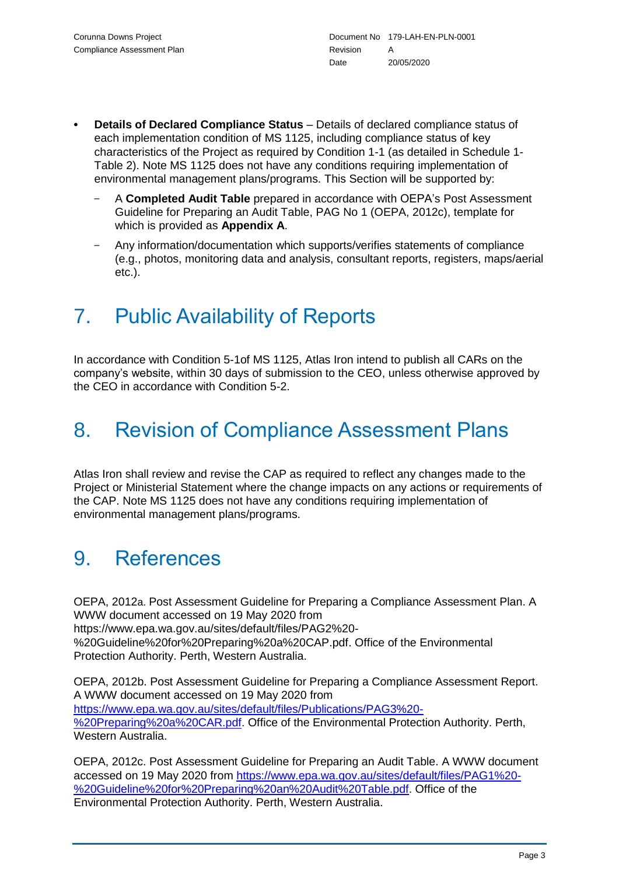- **Details of Declared Compliance Status** Details of declared compliance status of each implementation condition of MS 1125, including compliance status of key characteristics of the Project as required by Condition 1-1 (as detailed in Schedule 1- Table 2). Note MS 1125 does not have any conditions requiring implementation of environmental management plans/programs. This Section will be supported by:
	- A **Completed Audit Table** prepared in accordance with OEPA's Post Assessment Guideline for Preparing an Audit Table, PAG No 1 (OEPA, 2012c), template for which is provided as **Appendix A**.
	- Any information/documentation which supports/verifies statements of compliance (e.g., photos, monitoring data and analysis, consultant reports, registers, maps/aerial etc.).

# 7. Public Availability of Reports

In accordance with Condition 5-1of MS 1125, Atlas Iron intend to publish all CARs on the company's website, within 30 days of submission to the CEO, unless otherwise approved by the CEO in accordance with Condition 5-2.

### 8. Revision of Compliance Assessment Plans

Atlas Iron shall review and revise the CAP as required to reflect any changes made to the Project or Ministerial Statement where the change impacts on any actions or requirements of the CAP. Note MS 1125 does not have any conditions requiring implementation of environmental management plans/programs.

### 9. References

OEPA, 2012a. Post Assessment Guideline for Preparing a Compliance Assessment Plan. A WWW document accessed on 19 May 2020 from https://www.epa.wa.gov.au/sites/default/files/PAG2%20- %20Guideline%20for%20Preparing%20a%20CAP.pdf. Office of the Environmental Protection Authority. Perth, Western Australia.

OEPA, 2012b. Post Assessment Guideline for Preparing a Compliance Assessment Report. A WWW document accessed on 19 May 2020 from https://www.epa.wa.gov.au/sites/default/files/Publications/PAG3%20- %20Preparing%20a%20CAR.pdf. Office of the Environmental Protection Authority. Perth, Western Australia.

OEPA, 2012c. Post Assessment Guideline for Preparing an Audit Table. A WWW document accessed on 19 May 2020 from [https://www.epa.wa.gov.au/sites/default/files/PAG1%20-](https://www.epa.wa.gov.au/sites/default/files/PAG1%20-%20Guideline%20for%20Preparing%20an%20Audit%20Table.pdf) [%20Guideline%20for%20Preparing%20an%20Audit%20Table.pdf.](https://www.epa.wa.gov.au/sites/default/files/PAG1%20-%20Guideline%20for%20Preparing%20an%20Audit%20Table.pdf) Office of the Environmental Protection Authority. Perth, Western Australia.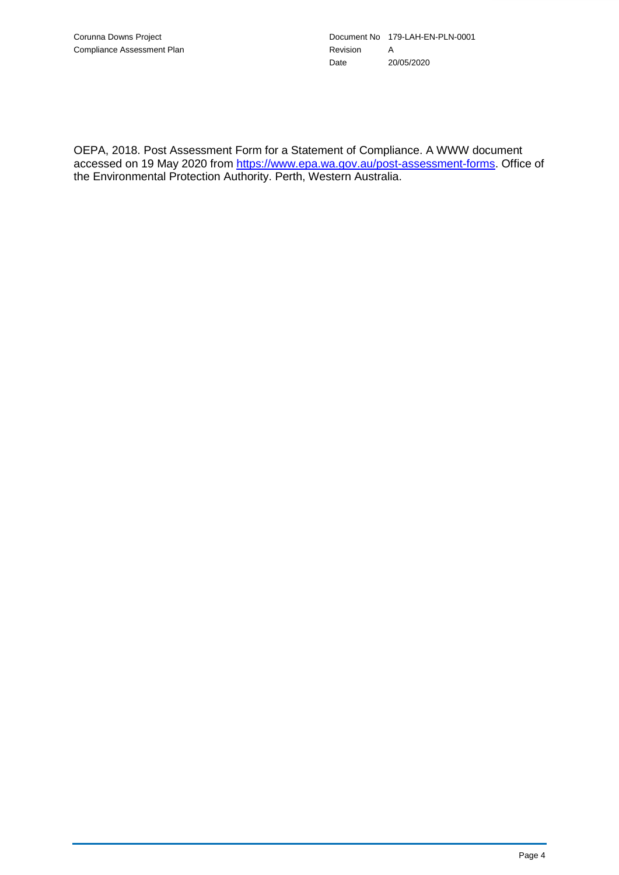OEPA, 2018. Post Assessment Form for a Statement of Compliance. A WWW document accessed on 19 May 2020 from [https://www.epa.wa.gov.au/post-assessment-forms.](https://www.epa.wa.gov.au/post-assessment-forms) Office of the Environmental Protection Authority. Perth, Western Australia.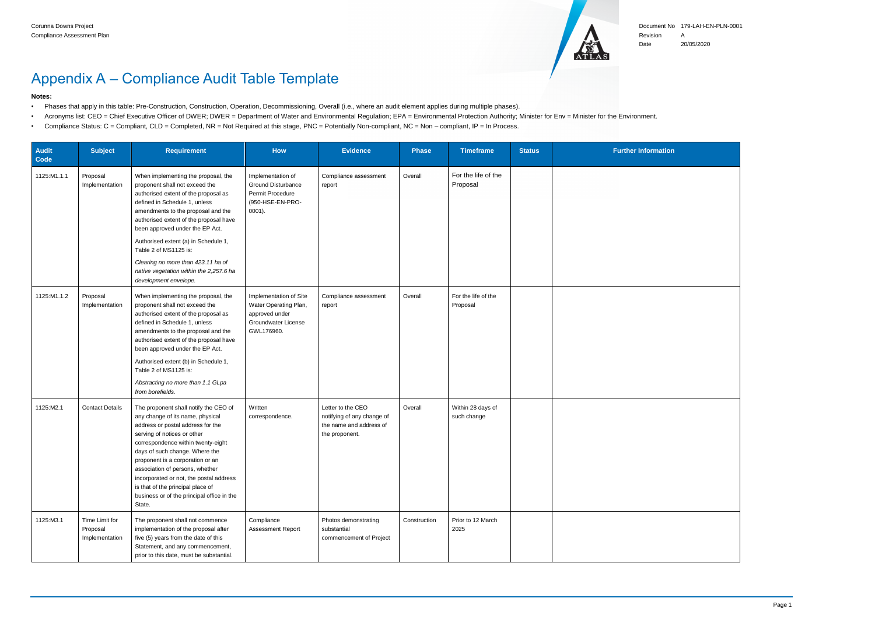

### Document No 179-LAH-EN-PLN-0001 Revision A

- Phases that apply in this table: Pre-Construction, Construction, Operation, Decommissioning, Overall (i.e., where an audit element applies during multiple phases).
- Acronyms list: CEO = Chief Executive Officer of DWER; DWER = Department of Water and Environmental Regulation; EPA = Environmental Protection Authority; Minister for Env = Minister for the Environment.
- Compliance Status: C = Compliant, CLD = Completed, NR = Not Required at this stage, PNC = Potentially Non-compliant, NC = Non compliant, IP = In Process.

Date 20/05/2020

# Appendix A – Compliance Audit Table Template

#### **Notes:**

| <b>Audit</b><br>Code | <b>Subject</b>                               | <b>Requirement</b>                                                                                                                                                                                                                                                                                                                                                                                                                           | How                                                                                                           | <b>Evidence</b>                                                                              | <b>Phase</b> | <b>Timeframe</b>                 | <b>Status</b> | <b>Further Information</b> |
|----------------------|----------------------------------------------|----------------------------------------------------------------------------------------------------------------------------------------------------------------------------------------------------------------------------------------------------------------------------------------------------------------------------------------------------------------------------------------------------------------------------------------------|---------------------------------------------------------------------------------------------------------------|----------------------------------------------------------------------------------------------|--------------|----------------------------------|---------------|----------------------------|
| 1125:M1.1.1          | Proposal<br>Implementation                   | When implementing the proposal, the<br>proponent shall not exceed the<br>authorised extent of the proposal as<br>defined in Schedule 1, unless<br>amendments to the proposal and the<br>authorised extent of the proposal have<br>been approved under the EP Act.<br>Authorised extent (a) in Schedule 1,<br>Table 2 of MS1125 is:<br>Clearing no more than 423.11 ha of<br>native vegetation within the 2,257.6 ha<br>development envelope. | Implementation of<br><b>Ground Disturbance</b><br>Permit Procedure<br>(950-HSE-EN-PRO-<br>$0001$ ).           | Compliance assessment<br>report                                                              | Overall      | For the life of the<br>Proposal  |               |                            |
| 1125:M1.1.2          | Proposal<br>Implementation                   | When implementing the proposal, the<br>proponent shall not exceed the<br>authorised extent of the proposal as<br>defined in Schedule 1, unless<br>amendments to the proposal and the<br>authorised extent of the proposal have<br>been approved under the EP Act.<br>Authorised extent (b) in Schedule 1,<br>Table 2 of MS1125 is:<br>Abstracting no more than 1.1 GLpa<br>from borefields.                                                  | Implementation of Site<br>Water Operating Plan,<br>approved under<br><b>Groundwater License</b><br>GWL176960. | Compliance assessment<br>report                                                              | Overall      | For the life of the<br>Proposal  |               |                            |
| 1125:M2.1            | <b>Contact Details</b>                       | The proponent shall notify the CEO of<br>any change of its name, physical<br>address or postal address for the<br>serving of notices or other<br>correspondence within twenty-eight<br>days of such change. Where the<br>proponent is a corporation or an<br>association of persons, whether<br>incorporated or not, the postal address<br>is that of the principal place of<br>business or of the principal office in the<br>State.         | Written<br>correspondence.                                                                                    | Letter to the CEO<br>notifying of any change of<br>the name and address of<br>the proponent. | Overall      | Within 28 days of<br>such change |               |                            |
| 1125:M3.1            | Time Limit for<br>Proposal<br>Implementation | The proponent shall not commence<br>implementation of the proposal after<br>five (5) years from the date of this<br>Statement, and any commencement,<br>prior to this date, must be substantial.                                                                                                                                                                                                                                             | Compliance<br>Assessment Report                                                                               | Photos demonstrating<br>substantial<br>commencement of Project                               | Construction | Prior to 12 March<br>2025        |               |                            |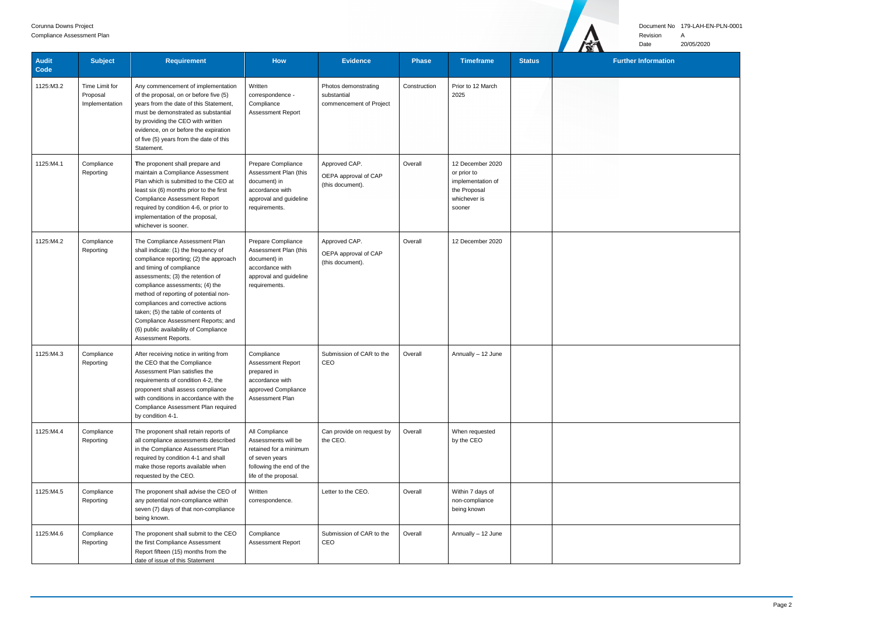### Document No 179-LAH-EN-PLN-0001

Revision A

Date 20/05/2020

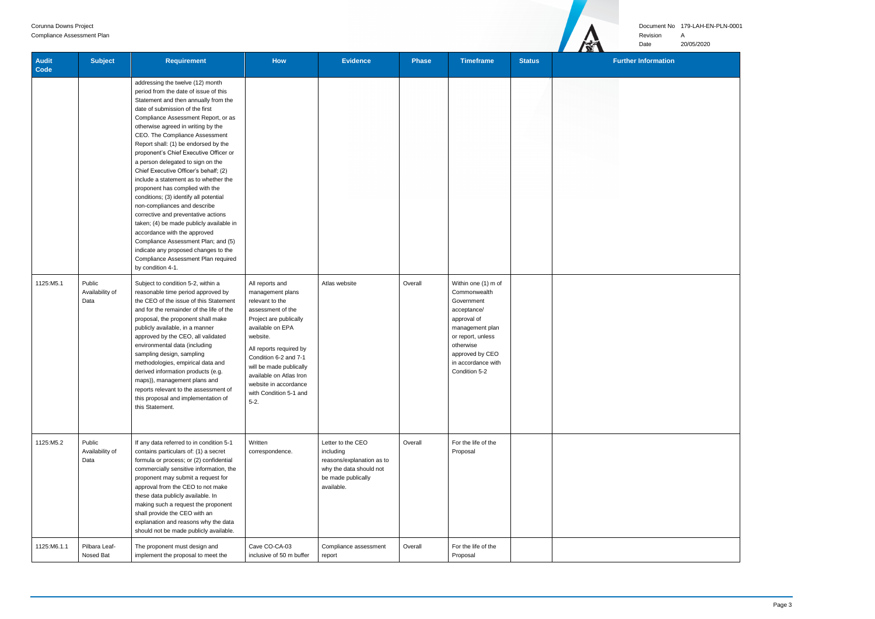#### Document No 179-LAH-EN-PLN-0001

Revision A

 $\mathbf{H}$ 

Date 20/05/2020

| <b>Audit</b><br>Code | <b>Subject</b>                    | <b>Requirement</b>                                                                                                                                                                                                                                                                                                                                                                                                                                                                                                                                                                                                                                                                                                                                                                                                                                      | <b>How</b>                                                                                                                                                                                                                                                                                                     | <b>Evidence</b>                                                                                                            | <b>Phase</b> | <b>Timeframe</b>                                                                                                                                                                               | <b>Status</b> | <b>Further Information</b> |
|----------------------|-----------------------------------|---------------------------------------------------------------------------------------------------------------------------------------------------------------------------------------------------------------------------------------------------------------------------------------------------------------------------------------------------------------------------------------------------------------------------------------------------------------------------------------------------------------------------------------------------------------------------------------------------------------------------------------------------------------------------------------------------------------------------------------------------------------------------------------------------------------------------------------------------------|----------------------------------------------------------------------------------------------------------------------------------------------------------------------------------------------------------------------------------------------------------------------------------------------------------------|----------------------------------------------------------------------------------------------------------------------------|--------------|------------------------------------------------------------------------------------------------------------------------------------------------------------------------------------------------|---------------|----------------------------|
|                      |                                   | addressing the twelve (12) month<br>period from the date of issue of this<br>Statement and then annually from the<br>date of submission of the first<br>Compliance Assessment Report, or as<br>otherwise agreed in writing by the<br>CEO. The Compliance Assessment<br>Report shall: (1) be endorsed by the<br>proponent's Chief Executive Officer or<br>a person delegated to sign on the<br>Chief Executive Officer's behalf; (2)<br>include a statement as to whether the<br>proponent has complied with the<br>conditions; (3) identify all potential<br>non-compliances and describe<br>corrective and preventative actions<br>taken; (4) be made publicly available in<br>accordance with the approved<br>Compliance Assessment Plan; and (5)<br>indicate any proposed changes to the<br>Compliance Assessment Plan required<br>by condition 4-1. |                                                                                                                                                                                                                                                                                                                |                                                                                                                            |              |                                                                                                                                                                                                |               |                            |
| 1125:M5.1            | Public<br>Availability of<br>Data | Subject to condition 5-2, within a<br>reasonable time period approved by<br>the CEO of the issue of this Statement<br>and for the remainder of the life of the<br>proposal, the proponent shall make<br>publicly available, in a manner<br>approved by the CEO, all validated<br>environmental data (including<br>sampling design, sampling<br>methodologies, empirical data and<br>derived information products (e.g.<br>maps)), management plans and<br>reports relevant to the assessment of<br>this proposal and implementation of<br>this Statement.                                                                                                                                                                                                                                                                                               | All reports and<br>management plans<br>relevant to the<br>assessment of the<br>Project are publically<br>available on EPA<br>website.<br>All reports required by<br>Condition 6-2 and 7-1<br>will be made publically<br>available on Atlas Iron<br>website in accordance<br>with Condition 5-1 and<br>$5 - 2.$ | Atlas website                                                                                                              | Overall      | Within one (1) m of<br>Commonwealth<br>Government<br>acceptance/<br>approval of<br>management plan<br>or report, unless<br>otherwise<br>approved by CEO<br>in accordance with<br>Condition 5-2 |               |                            |
| 1125:M5.2            | Public<br>Availability of<br>Data | If any data referred to in condition 5-1<br>contains particulars of: (1) a secret<br>formula or process; or (2) confidential<br>commercially sensitive information, the<br>proponent may submit a request for<br>approval from the CEO to not make<br>these data publicly available. In<br>making such a request the proponent<br>shall provide the CEO with an<br>explanation and reasons why the data<br>should not be made publicly available.                                                                                                                                                                                                                                                                                                                                                                                                       | Written<br>correspondence.                                                                                                                                                                                                                                                                                     | Letter to the CEO<br>including<br>reasons/explanation as to<br>why the data should not<br>be made publically<br>available. | Overall      | For the life of the<br>Proposal                                                                                                                                                                |               |                            |
| 1125:M6.1.1          | Pilbara Leaf-<br>Nosed Bat        | The proponent must design and<br>implement the proposal to meet the                                                                                                                                                                                                                                                                                                                                                                                                                                                                                                                                                                                                                                                                                                                                                                                     | Cave CO-CA-03<br>inclusive of 50 m buffer                                                                                                                                                                                                                                                                      | Compliance assessment<br>report                                                                                            | Overall      | For the life of the<br>Proposal                                                                                                                                                                |               |                            |